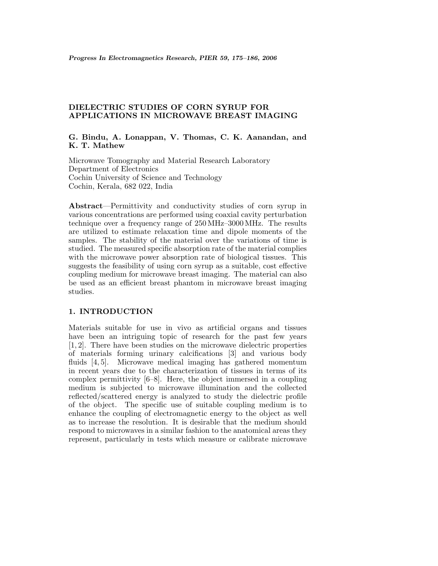# **DIELECTRIC STUDIES OF CORN SYRUP FOR APPLICATIONS IN MICROWAVE BREAST IMAGING**

## **G. Bindu, A. Lonappan, V. Thomas, C. K. Aanandan, and K. T. Mathew**

Microwave Tomography and Material Research Laboratory Department of Electronics Cochin University of Science and Technology Cochin, Kerala, 682 022, India

**Abstract**—Permittivity and conductivity studies of corn syrup in various concentrations are performed using coaxial cavity perturbation technique over a frequency range of 250 MHz–3000 MHz. The results are utilized to estimate relaxation time and dipole moments of the samples. The stability of the material over the variations of time is studied. The measured specific absorption rate of the material complies with the microwave power absorption rate of biological tissues. This suggests the feasibility of using corn syrup as a suitable, cost effective coupling medium for microwave breast imaging. The material can also be used as an efficient breast phantom in microwave breast imaging studies.

# **1. INTRODUCTION**

Materials suitable for use in vivo as artificial organs and tissues have been an intriguing topic of research for the past few years [1, 2]. There have been studies on the microwave dielectric properties of materials forming urinary calcifications [3] and various body fluids [4, 5]. Microwave medical imaging has gathered momentum in recent years due to the characterization of tissues in terms of its complex permittivity [6–8]. Here, the object immersed in a coupling medium is subjected to microwave illumination and the collected reflected/scattered energy is analyzed to study the dielectric profile of the object. The specific use of suitable coupling medium is to enhance the coupling of electromagnetic energy to the object as well as to increase the resolution. It is desirable that the medium should respond to microwaves in a similar fashion to the anatomical areas they represent, particularly in tests which measure or calibrate microwave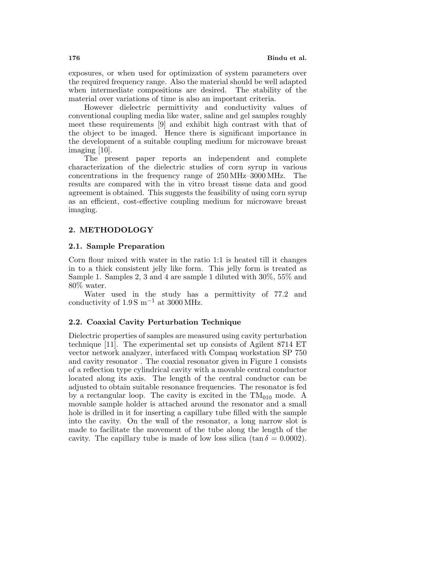exposures, or when used for optimization of system parameters over the required frequency range. Also the material should be well adapted when intermediate compositions are desired. The stability of the material over variations of time is also an important criteria.

However dielectric permittivity and conductivity values of conventional coupling media like water, saline and gel samples roughly meet these requirements [9] and exhibit high contrast with that of the object to be imaged. Hence there is significant importance in the development of a suitable coupling medium for microwave breast imaging [10].

The present paper reports an independent and complete characterization of the dielectric studies of corn syrup in various concentrations in the frequency range of 250 MHz–3000 MHz. The results are compared with the in vitro breast tissue data and good agreement is obtained. This suggests the feasibility of using corn syrup as an efficient, cost-effective coupling medium for microwave breast imaging.

## **2. METHODOLOGY**

## **2.1. Sample Preparation**

Corn flour mixed with water in the ratio 1:1 is heated till it changes in to a thick consistent jelly like form. This jelly form is treated as Sample 1. Samples 2, 3 and 4 are sample 1 diluted with 30%, 55% and 80% water.

Water used in the study has a permittivity of 77.2 and conductivity of  $1.9 S m^{-1}$  at 3000 MHz.

## **2.2. Coaxial Cavity Perturbation Technique**

Dielectric properties of samples are measured using cavity perturbation technique [11]. The experimental set up consists of Agilent 8714 ET vector network analyzer, interfaced with Compaq workstation SP 750 and cavity resonator . The coaxial resonator given in Figure 1 consists of a reflection type cylindrical cavity with a movable central conductor located along its axis. The length of the central conductor can be adjusted to obtain suitable resonance frequencies. The resonator is fed by a rectangular loop. The cavity is excited in the  $TM<sub>010</sub>$  mode. A movable sample holder is attached around the resonator and a small hole is drilled in it for inserting a capillary tube filled with the sample into the cavity. On the wall of the resonator, a long narrow slot is made to facilitate the movement of the tube along the length of the cavity. The capillary tube is made of low loss silica (tan  $\delta = 0.0002$ ).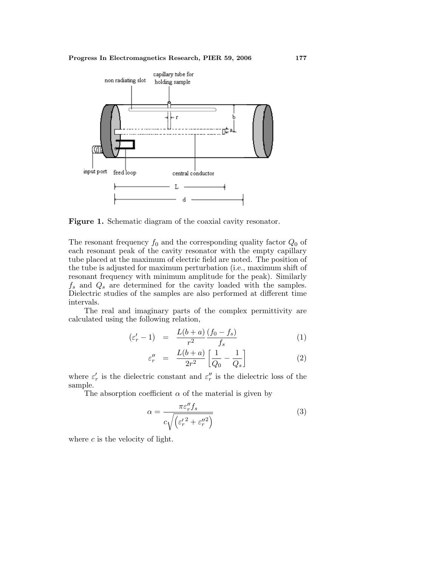

**Figure 1.** Schematic diagram of the coaxial cavity resonator.

The resonant frequency  $f_0$  and the corresponding quality factor  $Q_0$  of each resonant peak of the cavity resonator with the empty capillary tube placed at the maximum of electric field are noted. The position of the tube is adjusted for maximum perturbation (i.e., maximum shift of resonant frequency with minimum amplitude for the peak). Similarly  $f_s$  and  $Q_s$  are determined for the cavity loaded with the samples. Dielectric studies of the samples are also performed at different time intervals.

The real and imaginary parts of the complex permittivity are calculated using the following relation,

$$
(\varepsilon_r' - 1) = \frac{L(b+a)}{r^2} \frac{(f_0 - f_s)}{f_s} \tag{1}
$$

$$
\varepsilon_r'' = \frac{L(b+a)}{2r^2} \left[ \frac{1}{Q_0} - \frac{1}{Q_s} \right] \tag{2}
$$

where  $\varepsilon'_{r}$  is the dielectric constant and  $\varepsilon''_{r}$  is the dielectric loss of the sample.

The absorption coefficient  $\alpha$  of the material is given by

$$
\alpha = \frac{\pi \varepsilon_r'' f_s}{c \sqrt{\left(\varepsilon_r'^2 + \varepsilon_r''^2\right)}}
$$
(3)

where  $c$  is the velocity of light.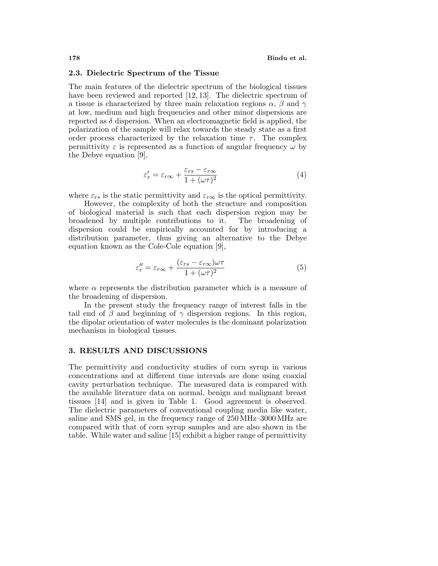#### **2.3. Dielectric Spectrumof the Tissue**

The main features of the dielectric spectrum of the biological tissues have been reviewed and reported [12, 13]. The dielectric spectrum of a tissue is characterized by three main relaxation regions  $\alpha$ ,  $\beta$  and  $\gamma$ at low, medium and high frequencies and other minor dispersions are reported as  $\delta$  dispersion. When an electromagnetic field is applied, the polarization of the sample will relax towards the steady state as a first order process characterized by the relaxation time  $\tau$ . The complex permittivity  $\varepsilon$  is represented as a function of angular frequency  $\omega$  by the Debye equation [9],

$$
\varepsilon'_{r} = \varepsilon_{r\infty} + \frac{\varepsilon_{rs} - \varepsilon_{r\infty}}{1 + (\omega\tau)^2}
$$
(4)

where  $\varepsilon_{rs}$  is the static permittivity and  $\varepsilon_{r\infty}$  is the optical permittivity.

However, the complexity of both the structure and composition of biological material is such that each dispersion region may be broadened by multiple contributions to it. The broadening of dispersion could be empirically accounted for by introducing a distribution parameter, thus giving an alternative to the Debye equation known as the Cole-Cole equation [9],

$$
\varepsilon_r'' = \varepsilon_{r\infty} + \frac{(\varepsilon_{rs} - \varepsilon_{r\infty})\omega\tau}{1 + (\omega\tau)^2}
$$
(5)

where  $\alpha$  represents the distribution parameter which is a measure of the broadening of dispersion.

In the present study the frequency range of interest falls in the tail end of  $\beta$  and beginning of  $\gamma$  dispersion regions. In this region, the dipolar orientation of water molecules is the dominant polarization mechanism in biological tissues.

### **3. RESULTS AND DISCUSSIONS**

The permittivity and conductivity studies of corn syrup in various concentrations and at different time intervals are done using coaxial cavity perturbation technique. The measured data is compared with the available literature data on normal, benign and malignant breast tissues [14] and is given in Table 1. Good agreement is observed. The dielectric parameters of conventional coupling media like water, saline and SMS gel, in the frequency range of 250 MHz–3000 MHz are compared with that of corn syrup samples and are also shown in the table. While water and saline [15] exhibit a higher range of permittivity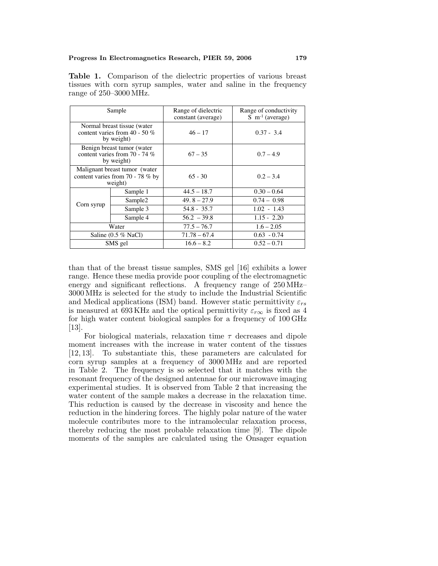**Table 1.** Comparison of the dielectric properties of various breast tissues with corn syrup samples, water and saline in the frequency range of 250–3000 MHz.

| Sample                                                                         |                     | Range of dielectric<br>constant (average) | Range of conductivity<br>$S \, \text{m}^{-1}$ (average) |  |
|--------------------------------------------------------------------------------|---------------------|-------------------------------------------|---------------------------------------------------------|--|
| Normal breast tissue (water<br>content varies from 40 - 50 $%$<br>by weight)   |                     | $46 - 17$                                 | $0.37 - 3.4$                                            |  |
| Benign breast tumor (water<br>content varies from $70 - 74\%$<br>by weight)    |                     | $67 - 35$                                 | $0.7 - 4.9$                                             |  |
| Malignant breast tumor (water<br>content varies from 70 - 78 $%$ by<br>weight) |                     | $65 - 30$                                 | $0.2 - 3.4$                                             |  |
|                                                                                | Sample 1            | $44.5 - 18.7$                             | $0.30 - 0.64$                                           |  |
|                                                                                | Sample <sub>2</sub> | $49.8 - 27.9$                             | $0.74 - 0.98$                                           |  |
| Corn syrup                                                                     | Sample 3            | $54.8 - 35.7$                             | $1.02 - 1.43$                                           |  |
|                                                                                | Sample 4            | $56.2 - 39.8$                             | $1.15 - 2.20$                                           |  |
| Water                                                                          |                     | $77.5 - 76.7$                             | $1.6 - 2.05$                                            |  |
| Saline $(0.5 %$ NaCl)                                                          |                     | $71.78 - 67.4$                            | $0.63 - 0.74$                                           |  |
| SMS gel                                                                        |                     | $16.6 - 8.2$                              | $0.52 - 0.71$                                           |  |

than that of the breast tissue samples, SMS gel [16] exhibits a lower range. Hence these media provide poor coupling of the electromagnetic energy and significant reflections. A frequency range of 250 MHz– 3000 MHz is selected for the study to include the Industrial Scientific and Medical applications (ISM) band. However static permittivity  $\varepsilon_{rs}$ is measured at 693 KHz and the optical permittivity  $\varepsilon_{r\infty}$  is fixed as 4 for high water content biological samples for a frequency of 100 GHz [13].

For biological materials, relaxation time  $\tau$  decreases and dipole moment increases with the increase in water content of the tissues [12, 13]. To substantiate this, these parameters are calculated for corn syrup samples at a frequency of 3000 MHz and are reported in Table 2. The frequency is so selected that it matches with the resonant frequency of the designed antennae for our microwave imaging experimental studies. It is observed from Table 2 that increasing the water content of the sample makes a decrease in the relaxation time. This reduction is caused by the decrease in viscosity and hence the reduction in the hindering forces. The highly polar nature of the water molecule contributes more to the intramolecular relaxation process, thereby reducing the most probable relaxation time [9]. The dipole moments of the samples are calculated using the Onsager equation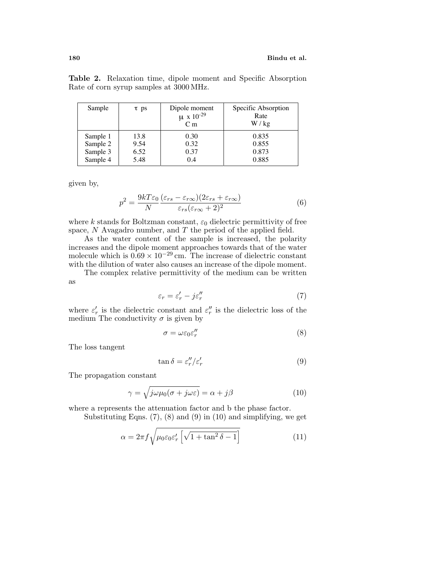|  |                                         |  |  | <b>Table 2.</b> Relaxation time, dipole moment and Specific Absorption |
|--|-----------------------------------------|--|--|------------------------------------------------------------------------|
|  | Rate of corn syrup samples at 3000 MHz. |  |  |                                                                        |

| Sample   | $\tau$ ps | Dipole moment<br>$\mu$ x 10 <sup>-29</sup><br>C <sub>m</sub> | Specific Absorption<br>Rate<br>W / kg |
|----------|-----------|--------------------------------------------------------------|---------------------------------------|
| Sample 1 | 13.8      | 0.30                                                         | 0.835                                 |
| Sample 2 | 9.54      | 0.32                                                         | 0.855                                 |
| Sample 3 | 6.52      | 0.37                                                         | 0.873                                 |
| Sample 4 | 5.48      | 0.4                                                          | 0.885                                 |

given by,

$$
p^2 = \frac{9kT\varepsilon_0}{N} \frac{(\varepsilon_{rs} - \varepsilon_{r\infty})(2\varepsilon_{rs} + \varepsilon_{r\infty})}{\varepsilon_{rs}(\varepsilon_{r\infty} + 2)^2}
$$
(6)

where k stands for Boltzman constant,  $\varepsilon_0$  dielectric permittivity of free space,  $N$  Avagadro number, and  $T$  the period of the applied field.

As the water content of the sample is increased, the polarity increases and the dipole moment approaches towards that of the water molecule which is  $0.69 \times 10^{-29}$  cm. The increase of dielectric constant with the dilution of water also causes an increase of the dipole moment.

The complex relative permittivity of the medium can be written as

$$
\varepsilon_r = \varepsilon'_r - j\varepsilon''_r \tag{7}
$$

where  $\varepsilon'_{r}$  is the dielectric constant and  $\varepsilon''_{r}$  is the dielectric loss of the medium The conductivity  $\sigma$  is given by

$$
\sigma = \omega \varepsilon_0 \varepsilon_r'' \tag{8}
$$

The loss tangent

$$
\tan \delta = \varepsilon_r'' / \varepsilon_r' \tag{9}
$$

The propagation constant

$$
\gamma = \sqrt{j\omega\mu_0(\sigma + j\omega\varepsilon)} = \alpha + j\beta \tag{10}
$$

where a represents the attenuation factor and b the phase factor.

Substituting Eqns.  $(7)$ ,  $(8)$  and  $(9)$  in  $(10)$  and simplifying, we get

$$
\alpha = 2\pi f \sqrt{\mu_0 \varepsilon_0 \varepsilon'_r \left[ \sqrt{1 + \tan^2 \delta - 1} \right]}
$$
 (11)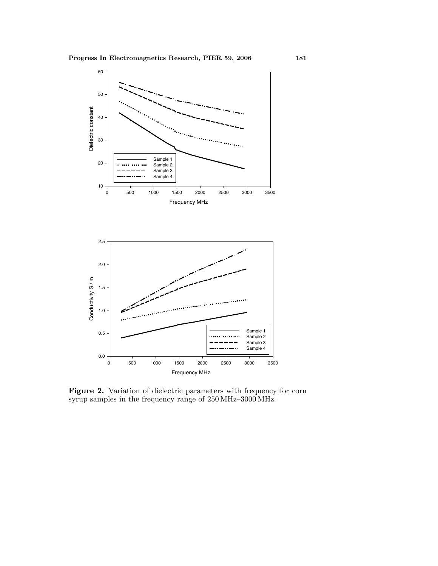

Figure 2. Variation of dielectric parameters with frequency for corn syrup samples in the frequency range of 250 MHz–3000 MHz.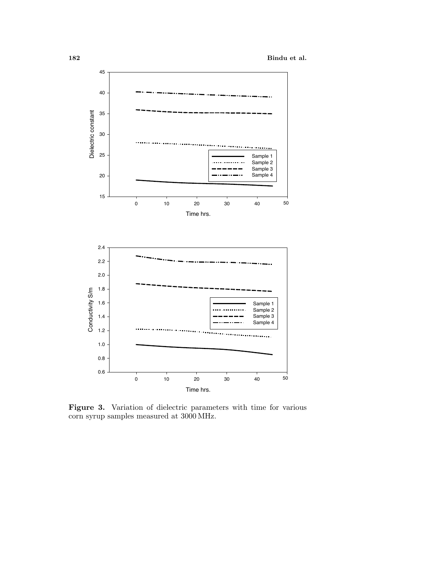

Figure 3. Variation of dielectric parameters with time for various corn syrup samples measured at 3000 MHz.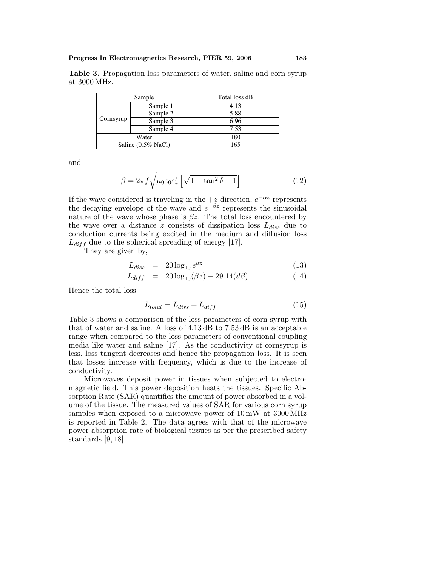| <b>Table 3.</b> Propagation loss parameters of water, saline and corn syrup |  |  |  |
|-----------------------------------------------------------------------------|--|--|--|
| at 3000 MHz.                                                                |  |  |  |
|                                                                             |  |  |  |

| Sample                |          | Total loss dB |  |  |
|-----------------------|----------|---------------|--|--|
| Cornsyrup             | Sample 1 | 4.13          |  |  |
|                       | Sample 2 | 5.88          |  |  |
|                       | Sample 3 | 6.96          |  |  |
|                       | Sample 4 | 7.53          |  |  |
| Water                 |          | 180           |  |  |
| Saline $(0.5\%$ NaCl) |          | 165           |  |  |

and

$$
\beta = 2\pi f \sqrt{\mu_0 \varepsilon_0 \varepsilon'_r \left[ \sqrt{1 + \tan^2 \delta + 1} \right]}
$$
(12)

If the wave considered is traveling in the  $+z$  direction,  $e^{-\alpha z}$  represents the decaying envelope of the wave and  $e^{-\beta z}$  represents the sinusoidal nature of the wave whose phase is  $\beta z$ . The total loss encountered by the wave over a distance z consists of dissipation loss  $L_{diss}$  due to conduction currents being excited in the medium and diffusion loss  $L_{diff}$  due to the spherical spreading of energy [17].

They are given by,

$$
L_{diss} = 20 \log_{10} e^{\alpha z} \tag{13}
$$

$$
L_{diff} = 20 \log_{10}(\beta z) - 29.14(d\beta)
$$
 (14)

Hence the total loss

$$
L_{total} = L_{diss} + L_{diff} \tag{15}
$$

Table 3 shows a comparison of the loss parameters of corn syrup with that of water and saline. A loss of 4.13 dB to 7.53 dB is an acceptable range when compared to the loss parameters of conventional coupling media like water and saline [17]. As the conductivity of cornsyrup is less, loss tangent decreases and hence the propagation loss. It is seen that losses increase with frequency, which is due to the increase of conductivity.

Microwaves deposit power in tissues when subjected to electromagnetic field. This power deposition heats the tissues. Specific Absorption Rate (SAR) quantifies the amount of power absorbed in a volume of the tissue. The measured values of SAR for various corn syrup samples when exposed to a microwave power of 10 mW at 3000 MHz is reported in Table 2. The data agrees with that of the microwave power absorption rate of biological tissues as per the prescribed safety standards [9, 18].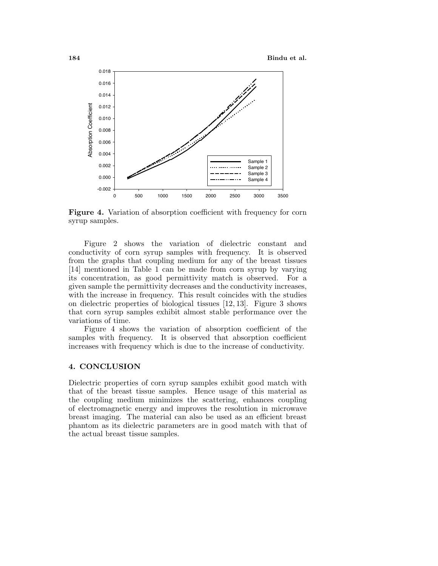

**Figure 4.** Variation of absorption coefficient with frequency for corn syrup samples.

Figure 2 shows the variation of dielectric constant and conductivity of corn syrup samples with frequency. It is observed from the graphs that coupling medium for any of the breast tissues [14] mentioned in Table 1 can be made from corn syrup by varying its concentration, as good permittivity match is observed. For a given sample the permittivity decreases and the conductivity increases, with the increase in frequency. This result coincides with the studies on dielectric properties of biological tissues [12, 13]. Figure 3 shows that corn syrup samples exhibit almost stable performance over the variations of time.

Figure 4 shows the variation of absorption coefficient of the samples with frequency. It is observed that absorption coefficient increases with frequency which is due to the increase of conductivity.

### **4. CONCLUSION**

Dielectric properties of corn syrup samples exhibit good match with that of the breast tissue samples. Hence usage of this material as the coupling medium minimizes the scattering, enhances coupling of electromagnetic energy and improves the resolution in microwave breast imaging. The material can also be used as an efficient breast phantom as its dielectric parameters are in good match with that of the actual breast tissue samples.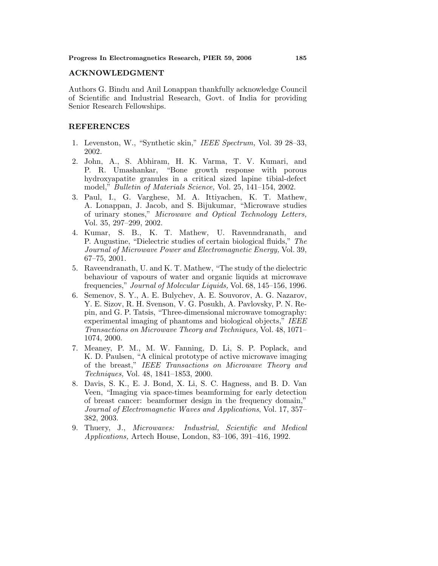### **ACKNOWLEDGMENT**

Authors G. Bindu and Anil Lonappan thankfully acknowledge Council of Scientific and Industrial Research, Govt. of India for providing Senior Research Fellowships.

## **REFERENCES**

- 1. Levenston, W., "Synthetic skin," IEEE Spectrum, Vol. 39 28–33, 2002.
- 2. John, A., S. Abhiram, H. K. Varma, T. V. Kumari, and P. R. Umashankar, "Bone growth response with porous hydroxyapatite granules in a critical sized lapine tibial-defect model," *Bulletin of Materials Science*, Vol. 25, 141–154, 2002.
- 3. Paul, I., G. Varghese, M. A. Ittiyachen, K. T. Mathew, A. Lonappan, J. Jacob, and S. Bijukumar, "Microwave studies of urinary stones," Microwave and Optical Technology Letters, Vol. 35, 297–299, 2002.
- 4. Kumar, S. B., K. T. Mathew, U. Ravenndranath, and P. Augustine, "Dielectric studies of certain biological fluids," The Journal of Microwave Power and Electromagnetic Energy, Vol. 39, 67–75, 2001.
- 5. Raveendranath, U. and K. T. Mathew, "The study of the dielectric behaviour of vapours of water and organic liquids at microwave frequencies," Journal of Molecular Liquids, Vol. 68, 145–156, 1996.
- 6. Semenov, S. Y., A. E. Bulychev, A. E. Souvorov, A. G. Nazarov, Y. E. Sizov, R. H. Svenson, V. G. Posukh, A. Pavlovsky, P. N. Repin, and G. P. Tatsis, "Three-dimensional microwave tomography: experimental imaging of phantoms and biological objects," IEEE Transactions on Microwave Theory and Techniques, Vol. 48, 1071– 1074, 2000.
- 7. Meaney, P. M., M. W. Fanning, D. Li, S. P. Poplack, and K. D. Paulsen, "A clinical prototype of active microwave imaging of the breast," IEEE Transactions on Microwave Theory and Techniques, Vol. 48, 1841–1853, 2000.
- 8. Davis, S. K., E. J. Bond, X. Li, S. C. Hagness, and B. D. Van Veen, "Imaging via space-times beamforming for early detection of breast cancer: beamformer design in the frequency domain," Journal of Electromagnetic Waves and Applications, Vol. 17, 357– 382, 2003.
- 9. Thuery, J., Microwaves: Industrial, Scientific and Medical Applications, Artech House, London, 83–106, 391–416, 1992.